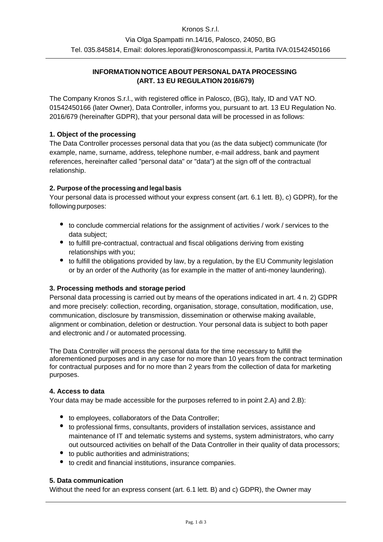# **INFORMATION NOTICE ABOUT PERSONAL DATA PROCESSING (ART. 13 EU REGULATION 2016/679)**

The Company Kronos S.r.l., with registered office in Palosco, (BG), Italy, ID and VAT NO. 01542450166 (later Owner), Data Controller, informs you, pursuant to art. 13 EU Regulation No. 2016/679 (hereinafter GDPR), that your personal data will be processed in as follows:

# **1. Object of the processing**

The Data Controller processes personal data that you (as the data subject) communicate (for example, name, surname, address, telephone number, e-mail address, bank and payment references, hereinafter called "personal data" or "data") at the sign off of the contractual relationship.

## **2. Purpose of the processing and legal basis**

Your personal data is processed without your express consent (art. 6.1 lett. B), c) GDPR), for the followingpurposes:

- to conclude commercial relations for the assignment of activities / work / services to the data subject;
- to fulfill pre-contractual, contractual and fiscal obligations deriving from existing relationships with you;
- to fulfill the obligations provided by law, by a regulation, by the EU Community legislation or by an order of the Authority (as for example in the matter of anti-money laundering).

## **3. Processing methods and storage period**

Personal data processing is carried out by means of the operations indicated in art. 4 n. 2) GDPR and more precisely: collection, recording, organisation, storage, consultation, modification, use, communication, disclosure by transmission, dissemination or otherwise making available, alignment or combination, deletion or destruction. Your personal data is subject to both paper and electronic and / or automated processing.

The Data Controller will process the personal data for the time necessary to fulfill the aforementioned purposes and in any case for no more than 10 years from the contract termination for contractual purposes and for no more than 2 years from the collection of data for marketing purposes.

## **4. Access to data**

Your data may be made accessible for the purposes referred to in point 2.A) and 2.B):

- $\bullet$  to employees, collaborators of the Data Controller;
- to professional firms, consultants, providers of installation services, assistance and maintenance of IT and telematic systems and systems, system administrators, who carry out outsourced activities on behalf of the Data Controller in their quality of data processors;
- to public authorities and administrations;
- to credit and financial institutions, insurance companies.

## **5. Data communication**

Without the need for an express consent (art. 6.1 lett. B) and c) GDPR), the Owner may